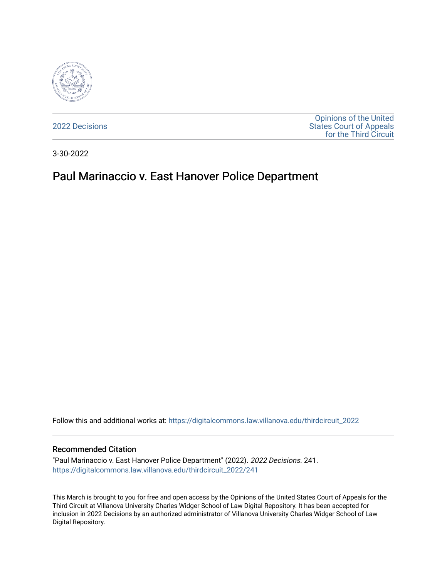

[2022 Decisions](https://digitalcommons.law.villanova.edu/thirdcircuit_2022)

[Opinions of the United](https://digitalcommons.law.villanova.edu/thirdcircuit)  [States Court of Appeals](https://digitalcommons.law.villanova.edu/thirdcircuit)  [for the Third Circuit](https://digitalcommons.law.villanova.edu/thirdcircuit) 

3-30-2022

# Paul Marinaccio v. East Hanover Police Department

Follow this and additional works at: [https://digitalcommons.law.villanova.edu/thirdcircuit\\_2022](https://digitalcommons.law.villanova.edu/thirdcircuit_2022?utm_source=digitalcommons.law.villanova.edu%2Fthirdcircuit_2022%2F241&utm_medium=PDF&utm_campaign=PDFCoverPages) 

#### Recommended Citation

"Paul Marinaccio v. East Hanover Police Department" (2022). 2022 Decisions. 241. [https://digitalcommons.law.villanova.edu/thirdcircuit\\_2022/241](https://digitalcommons.law.villanova.edu/thirdcircuit_2022/241?utm_source=digitalcommons.law.villanova.edu%2Fthirdcircuit_2022%2F241&utm_medium=PDF&utm_campaign=PDFCoverPages)

This March is brought to you for free and open access by the Opinions of the United States Court of Appeals for the Third Circuit at Villanova University Charles Widger School of Law Digital Repository. It has been accepted for inclusion in 2022 Decisions by an authorized administrator of Villanova University Charles Widger School of Law Digital Repository.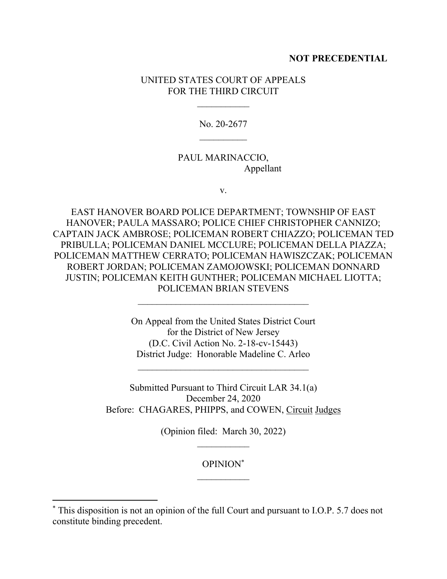### **NOT PRECEDENTIAL**

### UNITED STATES COURT OF APPEALS FOR THE THIRD CIRCUIT

No. 20-2677  $\mathcal{L}_\text{max}$ 

## PAUL MARINACCIO, Appellant

v.

EAST HANOVER BOARD POLICE DEPARTMENT; TOWNSHIP OF EAST HANOVER; PAULA MASSARO; POLICE CHIEF CHRISTOPHER CANNIZO; CAPTAIN JACK AMBROSE; POLICEMAN ROBERT CHIAZZO; POLICEMAN TED PRIBULLA; POLICEMAN DANIEL MCCLURE; POLICEMAN DELLA PIAZZA; POLICEMAN MATTHEW CERRATO; POLICEMAN HAWISZCZAK; POLICEMAN ROBERT JORDAN; POLICEMAN ZAMOJOWSKI; POLICEMAN DONNARD JUSTIN; POLICEMAN KEITH GUNTHER; POLICEMAN MICHAEL LIOTTA; POLICEMAN BRIAN STEVENS

> On Appeal from the United States District Court for the District of New Jersey (D.C. Civil Action No. 2-18-cv-15443) District Judge: Honorable Madeline C. Arleo

 $\mathcal{L}_\text{max}$ 

Submitted Pursuant to Third Circuit LAR 34.1(a) December 24, 2020 Before: CHAGARES, PHIPPS, and COWEN, Circuit Judges

> (Opinion filed: March 30, 2022)  $\mathcal{L}_\text{max}$

## OPINION\*  $\frac{1}{2}$

<sup>\*</sup> This disposition is not an opinion of the full Court and pursuant to I.O.P. 5.7 does not constitute binding precedent.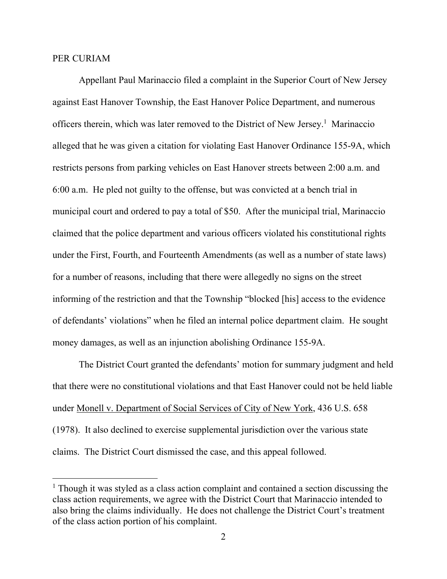#### PER CURIAM

 Appellant Paul Marinaccio filed a complaint in the Superior Court of New Jersey against East Hanover Township, the East Hanover Police Department, and numerous officers therein, which was later removed to the District of New Jersey.<sup>1</sup> Marinaccio alleged that he was given a citation for violating East Hanover Ordinance 155-9A, which restricts persons from parking vehicles on East Hanover streets between 2:00 a.m. and 6:00 a.m. He pled not guilty to the offense, but was convicted at a bench trial in municipal court and ordered to pay a total of \$50. After the municipal trial, Marinaccio claimed that the police department and various officers violated his constitutional rights under the First, Fourth, and Fourteenth Amendments (as well as a number of state laws) for a number of reasons, including that there were allegedly no signs on the street informing of the restriction and that the Township "blocked [his] access to the evidence of defendants' violations" when he filed an internal police department claim. He sought money damages, as well as an injunction abolishing Ordinance 155-9A.

The District Court granted the defendants' motion for summary judgment and held that there were no constitutional violations and that East Hanover could not be held liable under Monell v. Department of Social Services of City of New York, 436 U.S. 658 (1978). It also declined to exercise supplemental jurisdiction over the various state claims. The District Court dismissed the case, and this appeal followed.

<sup>&</sup>lt;sup>1</sup> Though it was styled as a class action complaint and contained a section discussing the class action requirements, we agree with the District Court that Marinaccio intended to also bring the claims individually. He does not challenge the District Court's treatment of the class action portion of his complaint.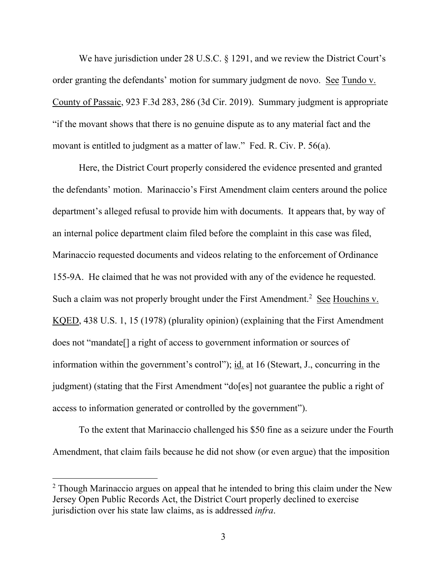We have jurisdiction under 28 U.S.C. § 1291, and we review the District Court's order granting the defendants' motion for summary judgment de novo. See Tundo v. County of Passaic, 923 F.3d 283, 286 (3d Cir. 2019). Summary judgment is appropriate "if the movant shows that there is no genuine dispute as to any material fact and the movant is entitled to judgment as a matter of law." Fed. R. Civ. P. 56(a).

Here, the District Court properly considered the evidence presented and granted the defendants' motion. Marinaccio's First Amendment claim centers around the police department's alleged refusal to provide him with documents. It appears that, by way of an internal police department claim filed before the complaint in this case was filed, Marinaccio requested documents and videos relating to the enforcement of Ordinance 155-9A. He claimed that he was not provided with any of the evidence he requested. Such a claim was not properly brought under the First Amendment.<sup>2</sup> See Houchins v. KQED, 438 U.S. 1, 15 (1978) (plurality opinion) (explaining that the First Amendment does not "mandate[] a right of access to government information or sources of information within the government's control"); id. at 16 (Stewart, J., concurring in the judgment) (stating that the First Amendment "do[es] not guarantee the public a right of access to information generated or controlled by the government").

To the extent that Marinaccio challenged his \$50 fine as a seizure under the Fourth Amendment, that claim fails because he did not show (or even argue) that the imposition

 $2$  Though Marinaccio argues on appeal that he intended to bring this claim under the New Jersey Open Public Records Act, the District Court properly declined to exercise jurisdiction over his state law claims, as is addressed *infra*.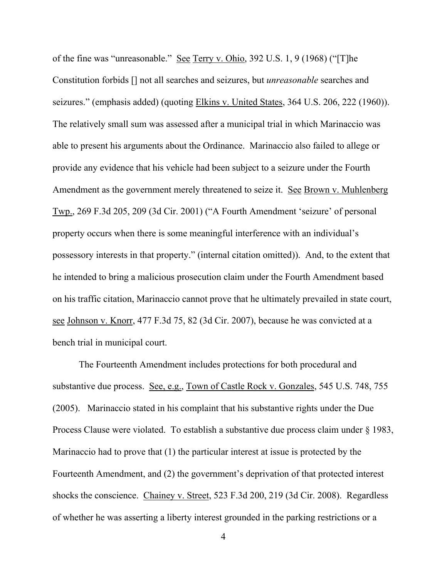of the fine was "unreasonable." See Terry v. Ohio, 392 U.S. 1, 9 (1968) ("[T]he Constitution forbids [] not all searches and seizures, but *unreasonable* searches and seizures." (emphasis added) (quoting Elkins v. United States, 364 U.S. 206, 222 (1960)). The relatively small sum was assessed after a municipal trial in which Marinaccio was able to present his arguments about the Ordinance. Marinaccio also failed to allege or provide any evidence that his vehicle had been subject to a seizure under the Fourth Amendment as the government merely threatened to seize it. See Brown v. Muhlenberg Twp., 269 F.3d 205, 209 (3d Cir. 2001) ("A Fourth Amendment 'seizure' of personal property occurs when there is some meaningful interference with an individual's possessory interests in that property." (internal citation omitted)). And, to the extent that he intended to bring a malicious prosecution claim under the Fourth Amendment based on his traffic citation, Marinaccio cannot prove that he ultimately prevailed in state court, see Johnson v. Knorr, 477 F.3d 75, 82 (3d Cir. 2007), because he was convicted at a bench trial in municipal court.

The Fourteenth Amendment includes protections for both procedural and substantive due process. See, e.g., Town of Castle Rock v. Gonzales, 545 U.S. 748, 755 (2005). Marinaccio stated in his complaint that his substantive rights under the Due Process Clause were violated. To establish a substantive due process claim under § 1983, Marinaccio had to prove that (1) the particular interest at issue is protected by the Fourteenth Amendment, and (2) the government's deprivation of that protected interest shocks the conscience. Chainey v. Street, 523 F.3d 200, 219 (3d Cir. 2008). Regardless of whether he was asserting a liberty interest grounded in the parking restrictions or a